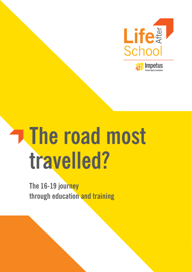

# **The road most travelled?**

**The 16-19 journey through education and training**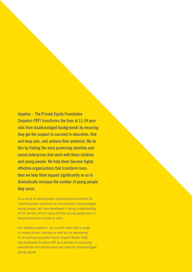**Impetus – The Private Equity Foundation (Impetus-PEF) transforms the lives of 11-24 year olds from disadvantaged backgrounds by ensuring they get the support to succeed in education, find and keep jobs, and achieve their potential. We do this by finding the most promising charities and social enterprises that work with these children and young people. We help them become highly effective organisations that transform lives; then we help them expand significantly so as to dramatically increase the number of young people they serve.**

As a result of working with organisations committed to improving poor outcomes for economically disadvantaged young people, we have developed a strong understanding of the barriers which many of these young people face in transitioning from school to work.

Our previous research, our current work with a range of impact-driven charities as well as our experience of co-funding successful Social Impact Bonds (SIB), has positioned Impetus-PEF as a pioneer of improving educational and employment outcomes for disadvantaged young people.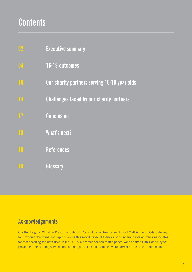# **Contents**

- **Executive summary 02**
- **16-19 outcomes 04**
- **Our charity partners serving 16-19 year olds**
	- **Challenges faced by our charity partners**
- **Conclusion**
	- **What's next?**
- **References**
- **Glossary**

### **Acknowledgements**

Our thanks go to Christine Preston of Catch22, Sarah Ford of TwentyTwenty and Matt Archer of City Gateway for providing their time and input towards this report. Special thanks also to Adam Crews of Crews Associates for fact-checking the data used in the 16-19 outcomes section of this paper. We also thank RR Donnelley for providing their printing services free of charge. All links in footnotes were correct at the time of publication.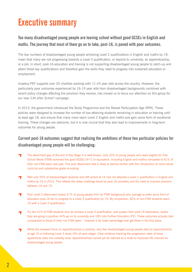# **Executive summary**

#### **Too many disadvantaged young people are leaving school without good GCSEs in English and maths. The journey that most of them go on to take, post-16, is paved with poor outcomes.**

The low numbers of disadvantaged young people achieving Level 2 qualifications in English and maths by 19, mean that many are not progressing towards a Level 3 qualification, or beyond to university, an apprenticeship, or a job. In short, post-16 education and training is not supporting disadvantaged young people to catch-up and attain these key qualifications and therefore gain the skills they need to progress into sustained education or employment.

Impetus-PEF supports over 20 charities working with 11-24 year olds across the country. However, the particularly poor outcomes experienced by 16-19 year olds from disadvantaged backgrounds combined with recent policy changes affecting the provision they receive, has moved us to focus our attention on this group for our new *'Life after School'* campaign.

In 2013, the government introduced the Study Programme and the Raised Participation Age (RPA). These policies were designed to increase the number of low-attaining students remaining in education or training until at least age 18, and ensure that many more reach Level 2 English and maths and gain some form of vocational training. These changes are welcome, but it is now crucial that they also lead to improvements in long-term outcomes for young people.

#### **Current post-16 outcomes suggest that realising the ambitions of these two particular policies for disadvantaged young people will be challenging:**

- The attainment gap at the end of Key Stage 4 is well-known: only 33% of young people who were eligible for Free  $\overline{\phantom{a}}$ School Meals (FSM) achieved five good GCSEs (A\*-C or equivalent, including English and maths) compared to 61% of their non-FSM peers last year. This poor attainment rate is likely to decline further with the introduction of more robust curricula and substantive grade re-scaling.
- Well over 50% of disadvantaged students who left school at 16 had not attained a Level 2 qualification in English and 7 maths by 19 in 2014. This reflects the steep challenge faced by post-16 providers and the need to improve provision between 16 and 19.
- Poor Level 2 attainment means 41% of young people from an FSM background who manage to enter some form of education post-16 fail to progress to a Level 3 qualification by 19. By comparison, 60% of non-FSM students reach 19 with a Level 3 qualification.
- For the 31% of FSM students who do achieve a Level 3 qualification, and sustain their post-19 destination, where they are going is positive; 44% go on to university and 18% into Further Education (FE). These outcomes actually look comparable to those of their non-FSM peers – however a far lower percentage ever get there in the first place.
- While the renewed focus on apprenticeships is positive, very few disadvantaged young people start an apprenticeship at age 16 or following Level 3 study (4% at each stage). Clear evidence tracking the progression rates of these apprentices does not currently exist. Apprenticeships cannot yet be claimed as a route to improved life chances for disadvantaged young people.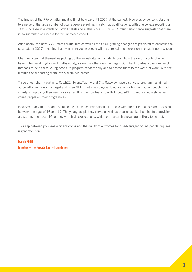The impact of the RPA on attainment will not be clear until 2017 at the earliest. However, evidence is starting to emerge of the large number of young people enrolling in catch-up qualifications, with one college reporting a 300% increase in entrants for both English and maths since 2013/14. Current performance suggests that there is no guarantee of success for this increased cohort.

Additionally, the new GCSE maths curriculum as well as the GCSE grading changes are predicted to decrease the pass rate in 2017, meaning that even more young people will be enrolled in underperforming catch-up provision.

Charities often find themselves picking up the lowest-attaining students post- $16$  – the vast majority of whom have Entry Level English and maths ability, as well as other disadvantages. Our charity partners use a range of methods to help these young people to progress academically and to expose them to the world of work, with the intention of supporting them into a sustained career.

Three of our charity partners, Catch22, TwentyTwenty and City Gateway, have distinctive programmes aimed at low-attaining, disadvantaged and often NEET (not in employment, education or training) young people. Each charity is improving their services as a result of their partnership with Impetus-PEF to more effectively serve young people on their programmes.

However, many more charities are acting as 'last chance saloons' for those who are not in mainstream provision between the ages of 16 and 19. The young people they serve, as well as thousands like them in state provision, are starting their post-16 journey with high expectations, which our research shows are unlikely to be met.

This gap between policymakers' ambitions and the reality of outcomes for disadvantaged young people requires urgent attention.

#### **March 2016**

**Impetus – The Private Equity Foundation**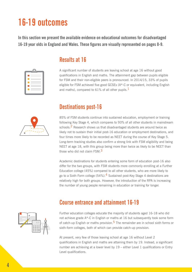# **16-19 outcomes**

**In this section we present the available evidence on educational outcomes for disadvantaged 16-19 year olds in England and Wales. These figures are visually represented on pages 8-9.**

| _                           |  |
|-----------------------------|--|
| -                           |  |
| -<br>-                      |  |
| -<br>۰                      |  |
| -<br>-<br><b>STATISTICS</b> |  |

#### **Results at 16**

A significant number of students are leaving school at age 16 without good qualifications in English and maths. The attainment gap between pupils eligible for FSM and their non-eligible peers is pronounced. In 2014/15, 33% of pupils eligible for FSM achieved five good GCSEs (A\*-C or equivalent, including English and maths), compared to 61% of all other pupils.  $1$ 

#### **Destinations post-16**

85% of FSM students continue into sustained education, employment or training following Key Stage 4, which compares to 93% of all other students in mainstream schools.<sup>2</sup> Research shows us that disadvantaged students are around twice as likely not to sustain their initial post-16 education or employment destinations, and four times more likely to be recorded as NEET during the course of Key Stage 5. Long-term tracking studies also confirm a strong link with FSM eligibility and being NEET at age 18, with this group being more than twice as likely to be NEET than those who did not claim FSM. $^3$ 

Academic destinations for students entering some form of education post-16 also differ for the two groups, with FSM students more commonly enrolling at a Further Education college (45%) compared to all other students, who are more likely to go to a Sixth Form college (54%). 4 Sustained post-Key Stage 4 destinations are relatively high for both groups. However, the introduction of the RPA is increasing the number of young people remaining in education or training for longer.

# A

#### **Course entrance and attainment 16-19**

Further education colleges educate the majority of students aged 16-18 who did not achieve grade A\*-C in English or maths at 16 but subsequently took some form of catch-up English or maths provision.<sup>5</sup> The remainder are in school sixth forms or sixth-form colleges, both of which can provide catch-up provision.

At present, very few of those leaving school at age 16 without Level 2 qualifications in English and maths are attaining them by 19. Instead, a significant number are achieving at a lower level by 19 – either Level 1 qualifications or Entry Level qualifications.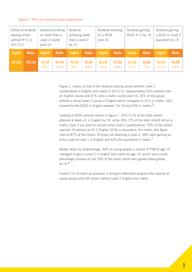| Cohort of students<br>leaving school<br>without A*-C in<br>2011/12 |              | Students enrolling<br>on lower than a<br>Level 2 course<br>$post-16$ |                 | <b>Students</b><br>achieving lower<br>than a Level 2<br>by $19$ |                 | Students enrolling<br>on a GCSE<br>$post-16$ |                 | Students gaining<br>GCSE A*-C by 19 |                | Students gaining<br>a GCSE or Level 2<br>equivalent by 19 |                 |
|--------------------------------------------------------------------|--------------|----------------------------------------------------------------------|-----------------|-----------------------------------------------------------------|-----------------|----------------------------------------------|-----------------|-------------------------------------|----------------|-----------------------------------------------------------|-----------------|
| <b>English</b>                                                     | <b>Maths</b> | <b>English</b>                                                       | <b>Maths</b>    | <b>English</b>                                                  | <b>Maths</b>    | <b>English</b>                               | <b>Maths</b>    | <b>English</b>                      | <b>Maths</b>   | <b>English</b>                                            | <b>Maths</b>    |
| 201,683                                                            | 186,160      | 52,438<br>(26%)                                                      | 57,710<br>(31%) | 76,640<br>(38%)                                                 | 78,187<br>(42%) | 52,438<br>(26%)                              | 37,232<br>(20%) | 22,185<br>(11%)                     | 13,031<br>(7%) | 42,353<br>(21%)                                           | 24,201<br>(13%) |

Figure 1. shows us that of the students leaving school without Level 2 qualifications in English and maths in 2011/12, approximately 60% entered onto an English course and 57% onto a maths course post-16. 26% of this group entered a below Level 2 course in English which compares to 31% in maths. 26% entered for the GCSE in English between 16-18 and 20% in maths.<sup>6</sup>

Looking at GCSE entrants shown in figure 1. 44% (11% of the total cohort) attained at least a C in English by 19, while 36% (7% of the total cohort) did so in maths. Even if you were to include other Level 2 qualifications, 79% of this cohort reached 19 without an A\*-C English GCSE or equivalent. For maths, this figure rises to 87% of the cohort. Of those not attaining a Level 2, 38% were gaining an Entry Level to Level 1 in English and 42% the equivalent in maths.<sup>7</sup>

Broken down by disadvantage, 46% of young people in receipt of FSM at age 15 managed to gain a Level 2 in English and maths by age 19, which was a small percentage increase on the 39% of the same cohort who gained these grades at 16.8

Current 16-19 catch-up provision is failing to effectively progress the majority of young people who left school without Level 2 English and maths.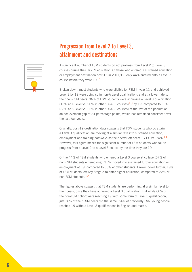### **Progression from Level 2 to Level 3, attainment and destinations**



A significant number of FSM students do not progress from Level 2 to Level 3 courses during their 16-19 education. Of those who entered a sustained education or employment destination post-16 in 2011/12, only 44% entered onto a Level 3 course before they were 19.9

Broken down, most students who were eligible for FSM in year 11 and achieved Level 3 by 19 were doing so in non-A Level qualifications and at a lower rate to their non-FSM peers. 36% of FSM students were achieving a Level 3 qualification (16% at A Level vs. 20% in other Level 3 courses)<sup>10</sup> by 19, compared to 60% (38% at A Level vs. 22% in other Level 3 courses) of the rest of the population – an achievement gap of 24 percentage points, which has remained consistent over the last four years.

Crucially, post-19 destination data suggests that FSM students who do attain a Level 3 qualification are moving at a similar rate into sustained education, employment and training pathways as their better off peers  $-71\%$  vs. 74%.  $11$ However, this figure masks the significant number of FSM students who fail to progress from a Level 2 to a Level 3 course by the time they are 19.

Of the 44% of FSM students who entered a Level 3 course at college (67% of non-FSM students entered one), 31% moved into sustained further education or employment at 19, compared to 50% of other students. Broken down further, 19% of FSM students left Key Stage 5 to enter higher education, compared to 33% of non-FSM students.12

The figures above suggest that FSM students are performing at a similar level to their peers, once they have achieved a Level 3 qualification. But while 60% of the non-FSM cohort were reaching 19 with some form of Level 3 qualification, just 36% of their FSM peers did the same. 54% of previously FSM young people reached 19 without Level 2 qualifications in English and maths.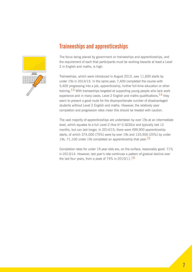

#### **Traineeships and apprenticeships**

The focus being placed by government on traineeships and apprenticeships, and the requirement of each that participants must be working towards at least a Level 2 in English and maths, is high.

Traineeships, which were introduced in August 2013, saw 11,600 starts by under 19s in 2014/15. In the same year, 7,400 completed the course with 5,400 progressing into a job, apprenticeship, further full-time education or other training.<sup>13</sup> With traineeships targeted at supporting young people who lack work experience and in many cases, Level 2 English and maths qualifications,  $14$  they seem to present a good route for the disproportionate number of disadvantaged students without Level 2 English and maths. However, the relatively poor completion and progression rates mean this should be treated with caution.

The vast majority of apprenticeships are undertaken by over 19s at an intermediate level, which equates to a full Level 2 (five A\*-C GCSEs) and typically last 12 months, but can last longer. In 2014/15, there were 499,900 apprenticeship starts, of which 374,000 (75%) were by over 19s and 125,900 (25%) by under 19s. 71,100 under 19s completed an apprenticeship that year.  $15$ 

Completion rates for under 19 year olds are, on the surface, reasonably good: 71% in 2013/14. However, last year's rate continues a pattern of gradual decline over the last four years, from a peak of 74% in 2010/11. $16$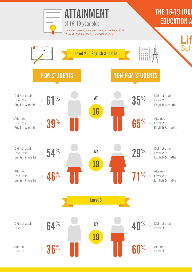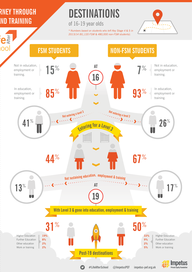## **RNEY THROUGH ND TRAINING**

# **DESTINATIONS**

of 16-19 year olds

*\* Numbers based on students who left Key Stage 4 & 5 in 2013/14 (81,120 FSM & 480,000 non-FSM students).*





**#LifeAfterSchool**

 $\mathbf{C}$ 

**@ImpetusPEF impetus-pef.org.uk**

**Private Equity Foundation**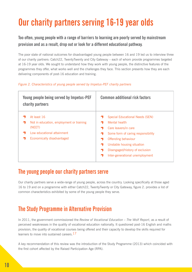# **Our charity partners serving 16-19 year olds**

#### **Too often, young people with a range of barriers to learning are poorly served by mainstream provision and as a result, drop out or look for a different educational pathway.**

The poor state of national outcomes for disadvantaged young people between 16 and 19 led us to interview three of our charity partners: Catch22, TwentyTwenty and City Gateway – each of whom provide programmes targeted at 16-19 year olds. We sought to understand how they work with young people, the distinctive features of the programmes they offer, what works well and the challenges they face. This section presents how they are each delivering components of post-16 education and training.

#### *Figure 2. Characteristics of young people served by Impetus-PEF charity partners*

| Young people being served by Impetus-PEF<br>charity partners                                                                  | <b>Common additional risk factors</b>                                                                                                                                                                                                            |
|-------------------------------------------------------------------------------------------------------------------------------|--------------------------------------------------------------------------------------------------------------------------------------------------------------------------------------------------------------------------------------------------|
| At least 16<br>Not in education, employment or training<br>(NEET)<br>Low educational attainment<br>Economically disadvantaged | <b>Special Educational Needs (SEN)</b><br>Mental health<br>Care leavers/in care<br>Some form of caring responsibility<br>Offending behaviour<br>Unstable housing situation<br>Disengaged/history of exclusion<br>Inter-generational unemployment |

#### **The young people our charity partners serve**

Our charity partners serve a wide-range of young people, across the country. Looking specifically at those aged 16 to 19 and on a programme with either Catch22, TwentyTwenty or City Gateway, figure 2. provides a list of common characteristics exhibited by some of the young people they serve.

#### **The Study Programme in Alternative Provision**

In 2011, the government commissioned the *Review of Vocational Education – The Wolf Report*, as a result of perceived weaknesses in the quality of vocational education nationally. It questioned post-16 English and maths provision, the quality of vocational courses being offered and their capacity to develop the skills required for learners to move into sustained careers.<sup>17</sup>

A key recommendation of this review was the introduction of the Study Programme (2013) which coincided with the first cohort affected by the Raised Participation Age (RPA).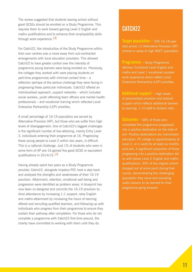The review suggested that students leaving school without good GCSEs should be enrolled on a Study Programme. This requires them to work toward gaining Level 2 English and maths qualifications and to enhance their employability skills through work experience.  $18$ 

For Catch22, the introduction of the Study Programme within their own centres was a move away from sub-contracted arrangements with local education providers. This allowed Catch22 to have greater control over the intensity of programme young learners were being enrolled on. Previously, the colleges they worked with were placing students on part-time programmes with minimal contact time – a reflection perhaps of the serious challenge they were facing in progressing these particular individuals. Catch22 offered an individualised approach, support networks – which included social workers, youth offending team officers and mental health professionals – and vocational training which reflected Local Enterprise Partnership (LEP) priorities.

A small percentage of 16-19 population are served by Alternative Provision (AP), but those who are suffer from high levels of disengagement. One of Catch22's biggest challenges is the significant number of low-attaining, mainly Entry Level 3, individuals entering their programme at 16. Progressing these young people to Level 2 within two years, is difficult. This is a national challenge. Just 1% of students who were in some form of AP pre-16 gained five good GCSE or equivalent qualifications in 2014/15. $19$ 

Having already spent two years as a Study Programme provider, Catch22, alongside Impetus-PEF, took a step back and analysed the strengths and weaknesses of their 16-19 provision. Attainment, retention, emotional well-being and progression were identified as problem areas. A blueprint has now been co-designed and commits the 16-19 provision to: drive attendance by increasing 1:1 support, raise English and maths attainment by increasing the hours of learning offered and recruiting qualified teachers, and following-up with individuals who progress from their programme to ensure they sustain their pathway after completion. For those who do not complete a programme with Catch22 first time around, the charity have committed to working with them until they do.

#### **CATCH22**

**Target population –** 350 16-18 year olds across 12 Alternative Provision (AP) centres in areas of high NEET population.

**Programme –** Study Programme delivery: functional Level English and maths and Level 1 vocational courses/ work experience which reflect Local Enterprise Partnership (LEP) priorities.

**Additional support –** High levels of personalised provision and tailored support which reflects additional barriers to learning. 1:10 staff to student ratio.

**Outcomes –** 68% of those who completed the programme progressed into a positive destination on the date of exit. Positive destinations are mainstream education, FE college or apprenticeship at Level 2, or in work for at least six months post-exit. A significant proportion of those progressing into a positive destination did so with below Level 2 English and maths qualifications. 35% of the original cohort dropped out at some point during their course, demonstrating the challenging population they serve and providing useful lessons to be learned for their programme going forward.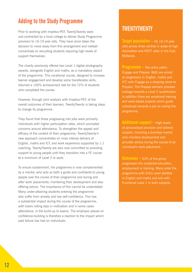#### **Adding to the Study Programme**

Prior to working with Impetus-PEF, TwentyTwenty were sub-contracted by a local college to deliver Study Programme provision to 16-19 year olds. They have since taken the decision to move away from this arrangement and instead concentrate on recruiting students requiring high levels of support themselves.

The charity previously offered two Level 1 digital photography awards, alongside English and maths, as a mandatory aspect of the programme. This vocational course, designed to increase learner engagement and develop some transferable skills, returned a 100% achievement rate for the 72% of students who completed the course.

However, through joint analysis with Impetus-PEF, of the overall outcomes of their learners, TwentyTwenty is taking steps to change its programme.

They found that those progressing into jobs were primarily individuals with higher participation rates, which prompted concerns around attendance. To strengthen the appeal and efficacy of the content of their programme, TwentyTwenty's new approach concentrates on more intense delivery of English, maths and ICT, and work experience supported by 1:1 coaching. TwentyTwenty are also now committed to providing support to young people until they transition into a FE course at a minimum of Level 2 or work.

To ensure sustainment, the programme is now complemented by a mentor, who acts as both a guide and confidante to young people over the course of their programme and during and after work placements; monitoring their development and also offering advice. The importance of this cannot be understated. Many under-attaining students entering the programme also suffer from anxiety and low self-confidence. This has a substantial impact during the course of the programme, with tutors noting dips in motivation and in some cases attendance, in the build-up to exams. The emphasis placed on confidence-building is therefore a reaction to the impact which past failure has had on individuals.

#### **TWENTYTWENTY**

**Target population –** 46 16-19 year olds across three centres in areas of high deprivation and NEET rates in the East Midlands.

**Programme –** Two entry paths: Engage and Prepare. Both are aimed at progression in English, maths and ICT, with Engage as a stepping stone to Prepare. The Prepare element provides tutelage towards a Level 2 qualification. In addition there are vocational training and work-based projects which guide individuals towards a job on exiting the programme.

**Additional support –** High levels of personalised provision and tailored support, including a business mentor who monitors development and provides advice during the course of an individual's work placement.

**Outcomes –** 53% of the group progressed into sustained education, employment or training. Many enter the programme with Entry Level abilities in English and maths and exit with Functional Level 1 in both subjects.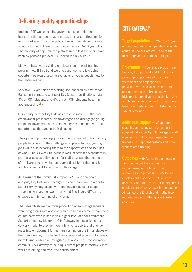#### **Delivering quality apprenticeships**

Impetus-PEF welcomes the government's commitment to increasing the number of apprenticeship starts to three million in this Parliament, but the policy does not provide an obvious solution to the problem of poor outcomes for 16-19 year olds. The majority of apprenticeship starts in the last five years have been by people aged over 19, indeed mainly over 25.20

Many of these were existing employees on internal training programmes. If this trend were to continue, very few actual opportunities would become available for young people new to the labour market.

Very few 16 year olds are starting apprenticeships post-school. Based on the most recent post-Key Stage 4 destinations data, 4% of FSM students and 5% of non-FSM students began an apprenticeship.21

Our charity partner City Gateway seeks to match up the poor employment prospects of disadvantaged and disengaged young people in Tower Hamlets and inner city East London, with the opportunities that are on their doorstep.

Their joined up four-stage programme is intended to train young people to cope with the challenge of applying for, and getting jobs while also exposing them to the expectations and routines of work. The six-week traineeship work experience placement in particular acts as a litmus test for staff to assess the readiness of the learner to move into an apprenticeship, or the need for additional support to get them to this stage.

As a result of their work with Impetus-PEF and their own analysis, City Gateway redesigned its core provision in order to better serve young people with the greatest need for support – learners who are not work-ready and find it very difficult to engage again in learning of any form.

The research showed a lower proportion of early stage learners were progressing into apprenticeships and employment than their counterparts who joined with a higher level of prior attainment. As part of its new blueprint, City Gateway has redesigned its delivery model to provide more intensive support, and a longer route into employment for learners starting on the initial stages of their programme, in order for their specialised provision to benefit more learners who have struggled elsewhere. This revised model commits City Gateway to helping learners progress positively into work or training and track their sustainment.

#### **CITY GATEWAY**

**Target population –** 125 16-24 year old apprentices. They operate in a single centre in Tower Hamlets – one of the most deprived authorities in England.

**Programme –** Four stage programme: Engage, Equip, Excel and Employ – a joined up programme of functional, vocational and employability provision, with specialist traineeships and apprenticeship brokerage with high-profile organisations in the banking and financial services sector. They have been rated outstanding by Ofsted for its 14-19 provision.

**Additional support –** Wraparound coaching and safeguarding support is coupled with expert job brokerage – staff engaging with local employers to offer traineeships, apprenticeships and other work-related training.

**Outcomes –** 94% positive progression; 56% converted their apprenticeship into a permanent role with their apprenticeship providers, 32% found employment elsewhere, 6% went to university and the rest either finding other employment of going back into education. All gained the English and maths level required as part of the apprenticeship condition.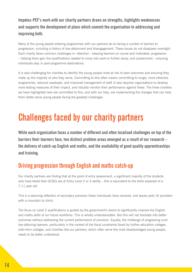**Impetus-PEF's work with our charity partners draws on strengths, highlights weaknesses and supports the development of plans which commit the organisation to addressing and improving both.**

Many of the young people entering programmes with our partners do so facing a number of barriers to progression, including a history of low-attainment and disengagement. These issues do not disappear overnight. Each charity faces common challenges in: retention – keeping learners on course and motivated; progression – helping them gain the qualifications needed to move into work or further study; and sustainment – ensuring individuals stay in post-programme destinations.

It is also challenging for charities to identify the young people most at risk of poor outcomes and ensuring they make up the majority of who they serve. Committing to this often means committing to longer, more intensive programmes, reduced caseloads, and improved management of staff. It also requires organisations to develop more testing measures of their impact, and robustly monitor their performance against these. The three charities we have highlighted here are committed to this, and with our help, are implementing the changes that can help them better serve young people facing the greatest challenges.

# **Challenges faced by our charity partners**

**While each organisation faces a number of different and often localised challenges on top of the barriers their learners face, two distinct problem areas emerged as a result of our research – the delivery of catch-up English and maths, and the availability of good quality apprenticeships and training.**

#### **Driving progression through English and maths catch-up**

Our charity partners are finding that at the point of entry assessment, a significant majority of the students who have failed their GCSEs are at Entry Level 2 or 3 ability – this is equivalent to the skills expected of a 7-11 year old.

This is a damning reflection of secondary provision these individuals have recieved, and leaves post-16 providers with a mountain to climb.

The focus on Level 2 qualifications is guided by the government's desire to significantly improve the English and maths skills of our future workforce. This is wholly understandable. But this will not translate into better outcomes without addressing the current performance of provision. Equally, the challenge of progressing such low-attaining learners, particularly in the context of the fiscal constraints faced by further education colleges, sixth-form colleges, and charities like our partners, which often serve the most disadvantaged young people, needs to be better understood.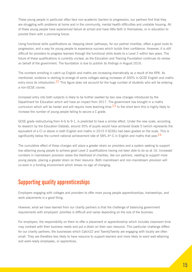These young people in particular often face non-academic barriers to progression; our partners find that they are struggling with problems at home and in the community, mental health difficulties and unstable housing. All of these young people have experienced failure at school and have little faith in themselves, or in education to provide them with a promising future.

Using functional skills qualifications as 'stepping stone' pathways, for our partner charities, offers a good route to progression, and a way for young people to experience success which builds their confidence. However, it is still difficult for providers to progress learners through the functional skills levels to a Level 2 within two years. The future of these qualifications is currently unclear, as the Education and Training Foundation continues its review on behalf of the government. The foundation is due to publish its findings in August 2016.

The numbers enrolling in catch-up English and maths are increasing dramatically as a result of the RPA. As mentioned, evidence is starting to emerge of some colleges seeing increases of 300% in GCSE English and maths entry since its introduction.  $22$  This figure does not account for the huge number of students who will be entering a non-GCSE course.

Increased entry into both subjects is likely to be further swelled by two new changes introduced by the Department for Education which will have an impact from 2017. The government has brought in a maths curriculum which will be harder and will require more teaching time.<sup>23</sup> In the short term this is highly likely to increase the number of young people failing to secure a C grade.

GCSE grade restructuring from A-G to 9-1, is predicted to have a similar effect. Under the new scale, according to research by the Education Datalab, around 35% of pupils would have achieved Grade 5 (which represents the equivalent of a C) or above in both English and maths in 2015 if GCSEs had been graded on the scale. This is significantly below the current national achievement rate of 58% A\*-C in English and maths that vear.  $24$ 

The cumulative effect of these changes will place a greater strain on providers and a system seeking to support low-attaining young people to achieve good Level 2 qualifications having not been able to do so at 16. Increased numbers in mainstream provision raises the likelihood of charities, like our partners, needing to support more young people, placing a greater strain on their resource. Both mainstream and non-mainstream provision will co-exist in a funding environment which shows no sign of changing.

#### **Supporting quality apprenticeships**

Employers engaging with colleges and providers to offer more young people apprenticeships, traineeships, and work placements is a good thing.

However, what we have learned from our charity partners is that the challenge of balancing government requirements with employers' priorities is difficult and varies depending on the size of the business.

For employers, the responsibility on them to offer a placement or apprenticeship which includes classroom time may contrast with their business needs and put a strain on their own resource. This particular challenge differs for our charity partners; the businesses which Catch22 and TwentyTwenty are engaging with locally are often small. They are therefore less likely to have resource to support learners and more likely to want well-attaining and work-ready employees, or apprentices.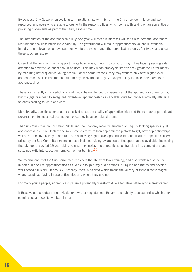By contrast, City Gateway enjoys long-term relationships with firms in the City of London – large and wellresourced employers who are able to deal with the responsibilities which come with taking on an apprentice or providing placements as part of the Study Programme.

The introduction of the apprenticeship levy next year will mean businesses will scrutinise potential apprentice recruitment decisions much more carefully. The government will make 'apprenticeship vouchers' available, initially, to employers who have put money into the system and other organisations only after two years, once these vouchers expire.

Given that the levy will mainly apply to large businesses, it would be unsurprising if they began paying greater attention to how the vouchers should be used. This may mean employers start to seek greater value for money by recruiting better qualified young people. For the same reasons, they may want to only offer higher level apprenticeships. This has the potential to negatively impact City Gateway's ability to place their learners in apprenticeships.

These are currently only predictions, and would be unintended consequences of the apprenticeship levy policy, but it suggests a need to safeguard lower-level apprenticeships as a viable route for low-academically attaining students seeking to learn and earn.

More broadly, questions continue to be asked about the quality of apprenticeships and the number of participants progressing into sustained destinations once they have completed them.

The Sub-Committee on Education, Skills and the Economy recently launched an inquiry looking specifically at apprenticeships. It will look at the government's three million apprenticeship starts target, how apprenticeships will affect the UK 'skills gap' and routes to achieving higher level apprenticeship qualifications. Specific concerns raised by the Sub-Committee members have included raising awareness of the opportunities available, increasing the take-up rate by 16-19 year olds and ensuring entries into apprenticeships translate into completions and sustained exits into education, employment or training.<sup>25</sup>

We recommend that the Sub-Committee considers the ability of low-attaining, and disadvantaged students in particular, to use apprenticeships as a vehicle to gain key qualifications in English and maths and develop work-based skills simultaneously. Presently, there is no data which tracks the journey of these disadvantaged young people achieving in apprenticeships and where they end up.

For many young people, apprenticeships are a potentially transformative alternative pathway to a great career.

If these valuable routes are not viable for low-attaining students though, their ability to access roles which offer genuine social mobility will be minimal.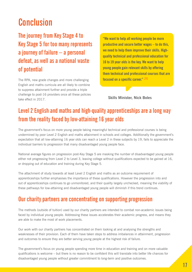# **Conclusion**

**The journey from Key Stage 4 to Key Stage 5 for too many represents a journey of failure – a personal defeat, as well as a national waste of potential**

The RPA, new grade changes and more challenging English and maths curricula are all likely to combine to suppress attainment further and provide a triple challenge to post-16 providers once all these policies take effect in 2017.

**"We want to help all working people be more productive and secure better wages – to do this, we need to help them improve their skills. Highquality technical and professional education for 16 to 19 year olds is the key. We want to help young people gain relevant skills by offering them technical and professional courses that are focused on a specific career."** 26

**Skills Minister, Nick Boles**

### **Level 2 English and maths and high-quality apprenticeships are a long way from the reality faced by low-attaining 16 year olds**

The government's focus on more young people taking meaningful technical and professional courses is being undermined by poor Level 2 English and maths attainment in schools and colleges. Additionally the government's expectation that all low-attaining 16 year olds can reach a Level 2 in these subjects by 19, fails to appreciate the individual barriers to progression that many disadvantaged young people face.

National average figures on progression post-Key Stage 5 are masking the number of disadvantaged young people either not progressing from Level 2 to Level 3, leaving college without qualifications expected to be gained at 16, or dropping out of education and training during Key Stage 5.

The attachment of study towards at least Level 2 English and maths as an outcome requirement of apprenticeships further emphasises the importance of these qualifications. However the progression into and out of apprenticeships continues to go unmonitored, and their quality largely unchecked, meaning the viability of these pathways for low-attaining and disadvantaged young people will diminish if this trend continues.

#### **Our charity partners are concentrating on supporting progression**

The methods (outside of tuition) used by our charity partners are intended to combat non-academic issues being faced by individual young people. Addressing these issues accelerates their academic progress, and means they are able to make the most of work placements.

Our work with our charity partners has concentrated on them looking at and analysing the strengths and weaknesses of their provision. Each of them have taken steps to address imbalances in attainment, progression and outcomes to ensure they are better serving young people at the highest risk of failure.

The government's focus on young people spending more time in education and training and on more valuable qualifications is welcome – but there is no reason to be confident this will translate into better life chances for disadvantaged young people without greater commitment to long-term and positive outcomes.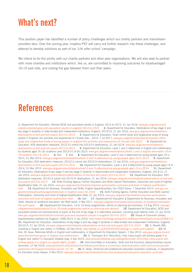# **What's next?**

This position paper has identified a number of policy challenges which our charity partners and mainstream providers face. Over the coming year, Impetus-PEF will carry out further research into these challenges, and attempt to develop solutions as part of our *'Life after school'* campaign.

We intend to do this jointly with our charity partners and other peer organisations. We will also seek to partner with more charities and institutions which, like us, are committed to improving outcomes for disadvantaged 16-19 year olds, and closing the gap between them and their peers.

## **References**

**1.** Department for Education, Revised GCSE and equivalent results in England, 2014 to 2015, 21 Jan 2016: *www.gov.uk/government/ statistics/revised-gcse-and-equivalent-results-in-england-2014-to-2015* **2.** Department for Education, Destinations of key stage 4 and key stage 5 students in state-funded and independent institutions, England, 2013/14, 21 Jan 2016: *www.gov.uk/government/statistics/ destinations-of-ks4-and-ks5-pupils-2013-to-2014* **3.** Department for Education, Youth cohort study and longitudinal study of young people in England: the activities and experiences of 19-year-olds – 2010, 7 Jul 2011: *www.gov.uk/government/statistics/youth-cohortstudy-and-longitudinal-study-of-young-people-in-england-the-activities-and-experiences-of-19-year-olds-2010* **4.** Department for Education, KS4 destination measures: 2012/13 cohort into 2013/14 destinations, 21 Jan 2016: *www.gov.uk/government/statistics/ destinations-of-ks4-and-ks5-pupils-2013-to-2014* **5.** Department for Education, Level 1 and 2 attainment in English and mathematics by students aged 16-18: academic year 2013/14, 8 Oct 2015: *www.gov.uk/government/statistics/level-1-and-2-english-and-maths-16-to-18-students-2013-to-2014* **6.** Ibid **7.** Ibid **8.** Department for Education, Level 2 and 3 attainment by young people aged 19 in 2014, 31 Mar 2015: *www.gov.uk/government/statistics/level-2-and-3-attainment-by-young-people-aged-19-in-2014* **9.** Department for Education, KS5 destination measures: 2012/13 cohort into 2013/14 destinations, 21 Jan 2016: *www.gov.uk/government/statistics/ destinations-of-ks4-and-ks5-pupils-2013-to-2014* **10.** Department for Education, Level 2 and 3 attainment by young people aged 19 in 2014, 31 Mar 2015: *www.gov.uk/government/statistics/level-2-and-3-attainment-by-young-people-aged-19-in-2014* **11.** Department for Education, Destinations of key stage 4 and key stage 5 students in state-funded and independent institutions, England, 2013/14, 21 Jan 2016: *www.gov.uk/government/statistics/destinations-of-ks4-and-ks5-pupils-2013-to-2014* **12.** Department for Education, KS5 destination measures: 2012/13 cohort into 2013/14 destinations, 21 Jan 2016: *www.gov.uk/government/statistics/destinations-of-ks4-andks5-pupils-2013-to-2014* **13.** Skills Funding Agency, Further Education and Skills Learner Participation, Outcomes and Level of Highest Qualification Held, 21 Jan 2016: *www.gov.uk/government/statistics/learner-participation-outcomes-and-level-of-highest-qualificationheld* **14.** Department for Business, Innovation and Skills, English Apprenticeships: Our 2020 Vision, 7 December 2015: *www.gov.uk/ government/publications/apprenticeships-in-england-vision-for-2020* **15.** Skills Funding Agency, Further Education and Skills Learner Participation, Outcomes and Level of Highest Qualification Held, 21 Jan 2016: *www.gov.uk/government/statistics/learner-participationoutcomes-and-level-of-highest-qualification-held* **16.** Ibid**17.** Department for Education & Department for Business, Innovation and Skills, Review of vocational education: the Wolf report, 3 Mar 2011: *www.gov.uk/government/publications/review-of-vocational-educationthe-wolf-report* **18.** Department for Education, 16 to 19 study programmes: advice on planning and provision, 13 Aug 2014: *www.gov. uk/government/publications/16-to-19-study-programmes-advice-on-planning-and-delivery* **19.** Department for Education, GCSE and equivalent entries and achievements of pupils at the end of key stage 4 in alternative provision, including pupil referral units, 21 Jan 2016: *www.gov.uk/government/statistics/revised-gcse-and-equivalent-results-in-england-2014-to-2015* **20.** House of Commons Library, Apprenticeship statistics for England: 1996-2015, 5 Jan 2016: *www.researchbriefings.parliament.uk/ResearchBriefing/Summary/SN06113*  **21.** Department for Education, Destinations of key stage 4 and key stage 5 students in state-funded and independent institutions, England, 2013/14, 21 Jan 2016: *www.gov.uk/government/statistics/destinations-of-ks4-and-ks5-pupils-2013-to-2014* **22.** S. Parrett OBE, Investing in English and maths, in FEWeek, 20 Feb 2016: *www.feweek.co.uk/2016/02/20/investing-in-maths-and-english/* **23.** Rt Hon. M. Gove, Reformed GCSEs in English and mathematics, in Department for Education Speech, 1 Nov 2013: *www.gov.uk/government/ speeches/reformed-gcses-in-english-and-mathematics* **24.** D. Thomspon & A. McCulloch, How many pupils will achieve grade 5 in English and maths? In Education Datalab blog, 4 Dec 2015: *www.educationdatalab.org.uk/Blog/December-2015/How-many-pupils-willachieve-grade-5-in-Englis-(1).aspx#.VtgF0\_mLQdX* **25.** Sub-Committee on Education, Skills and the Economy, Apprenticeships inquiry launched, 12 Feb 2016: *www.parliament.uk/business/committees/committees-a-z/commons-select/education-skills-and-economy/newsparliament-2015/apprenticeships-launch-15-16/* **26.** N. Boles, Technical and professional education revolution continues, in Department for Education press release, 5 Nov 2015: *www.gov.uk/government/news/technical-and-professional-education-revolution-continues*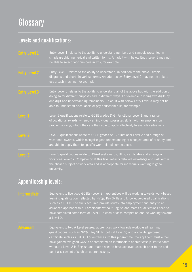#### **Levels and qualifications:**

| <b>Entry Level 1</b> | Entry Level 1 relates to the ability to understand numbers and symbols presented in<br>simple graphic, numerical and written forms. An adult with below Entry Level 1 may not<br>be able to select floor numbers in lifts, for example.                                                                                                                    |
|----------------------|------------------------------------------------------------------------------------------------------------------------------------------------------------------------------------------------------------------------------------------------------------------------------------------------------------------------------------------------------------|
| <b>Entry Level 2</b> | Entry Level 2 relates to the ability to understand, in addition to the above, simple<br>diagrams and charts in various forms. An adult below Entry Level 2 may not be able to<br>use a cash machine, for example.                                                                                                                                          |
| <b>Entry Level 3</b> | Entry Level 3 relates to the ability to understand all of the above but with the addition of<br>doing so for different purposes and in different ways. For example, dividing two digits by<br>one digit and understanding remainders. An adult with below Entry Level 3 may not be<br>able to understand price labels or pay household bills, for example. |
| Level 1              | Level 1 qualifications relate to GCSE grades D-G, Functional Level 1 and a range<br>of vocational awards, whereby an individual possesses skills, with an emphasis on<br>problem-solving, which they are then able to apply affectively to everyday situations.                                                                                            |
| <b>Level 2</b>       | Level 2 qualifications relate to GCSE grades A*-C, functional Level 2 and a range of<br>vocational awards, which recognise good understanding of a subject area of or study and<br>are able to apply them to specific work-related competencies.                                                                                                           |
| Level 3              | Level 3 qualifications relate to AS/A-Level awards, BTEC certificates and a range of<br>vocational awards. Competency at this level reflects detailed knowledge and skill within<br>the chosen subject or work area and is appropriate for individuals wanting to go to<br>university.                                                                     |

#### **Appenticeship levels:**

Equivalent to five good GCSEs (Level 2), apprentices will be working towards work-based learning qualification, reflected by NVQs, Key Skills and knowledge-based qualifications such as a BTEC. The skills acquired provide routes into employment and entry to an advanced apprenticeship. Participants without English and maths qualifications need to have completed some form of Level 1 in each prior to completion and be working towards a Level 2.

Equivalent to two A Level passes, apprentices work towards work-based learning qualifications, such as NVQs, Key Skills (both at Level 3) and a knowledge-based certificate such as a BTEC. For entrance into this programme, the applicant must either have gained five good GCSEs or completed an intermediate apprenticeship. Participants without a Level 2 in English and maths need to have achieved as such prior to the endpoint assessment of such an apprenticeship.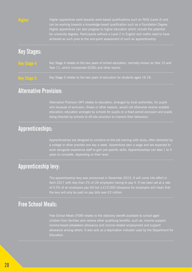

Higher apprentices work towards work-based qualifications such an NVQ (Level 4) and can be working towards a knowledge-based qualification such as a Foundation Degree. Higher apprentices can also progress to higher education which include the potential for university degrees. Participants without a Level 2 in English and maths need to have achieved as such prior to the end-point assessment of such an apprenticeship.

#### **Key Stages:**

| <b>Key Stage 4</b> | Key Stage 4 relates to the two years of school education, normally known as Year 10 and |
|--------------------|-----------------------------------------------------------------------------------------|
|                    | Pear 11, which incorporate GCSEs and other exams.                                       |

Key Stage 5 relates to the two years of education for students aged 16-18.

#### **Alternative Provision:**

Alternative Provision (AP) relates to education, arranged by local authorities, for pupils who because of exclusion, illness or other reasons, would not otherwise receive suitable education; education arranged by schools for pupils on a fixed period exclusion and pupils being directed by schools to off-site provision to improve their behaviour.

#### **Apprenticeships:**

Apprenticeships are designed to combine on-the-job training with study, often delivered by a college or other provider one day a week. Apprentices earn a wage and are expected to work alongside experience staff to gain job-specific skills. Apprenticeships can take 1 to 4 years to complete, depending on their level.

#### **Apprenticeship levy:**

The apprenticeship levy was announced in November 2015. It will come into effect in April 2017 with less than 2% of UK employers having to pay it. It has been set at a rate of 0.5% of an employers pay bill but a £15,000 allowance for employers will mean that the levy will only be paid on pay bills over £3 million.

#### **Free School Meals:**

Free School Meals (FSM) relates to the statutory benefit available to school-aged children from families who receive other qualifying benefits, such as: income support, income-based jobseekers allowance and income-related employment and support allowance among others. It also acts as a deprivation indicator used by the Department for Education.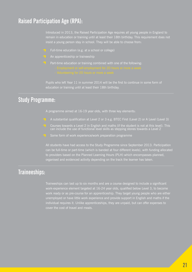#### **Raised Participation Age (RPA):**

Introduced in 2013, the Raised Participation Age requires all young people in England to remain in education or training until at least their 18th birthday. This requirement does not insist a young person stay in school. They will be able to choose from:

- Full-time education (e.g. at a school or college)
- $\gamma$  An apprenticeship or traineeship
- $\bigcup$  Part-time education or training combined with one of the following:

Pupils who left Year  $\overline{11}$  in summer 2014 will be the first to continue in some form of education or training until at least their 18th birthday.

#### **Study Programme:**

A programme aimed at 16-19 year olds, with three key elements:

- A substantial qualification at Level 2 or 3 e.g. BTEC First (Level 2) or A Level (Level 3)
- Courses towards a Level 2 in English and maths (if the student is not at this level). This can include the use of functional level skills as stepping stones towards a Level 2
- Some form of work experience/work preparation programme

All students have had access to the Study Programme since September 2013. Participation can be full-time or part-time (which is banded at four different levels), with funding allocated to providers based on the Planned Learning Hours (PLH) which encompasses planned, organised and evidenced activity depending on the track the learner has taken.

#### **Traineeships:**

Traineeships can last up to six months and are a course designed to include a significant work-experience element targeted at 16-24 year olds, qualified below Level 3, to become work ready or as pre-course for an apprenticeship. They target young people who are either unemployed or have little work experience and provide support in English and maths if the individual requires it. Unlike apprenticeships, they are unpaid, but can offer expenses to cover the cost of travel and meals.